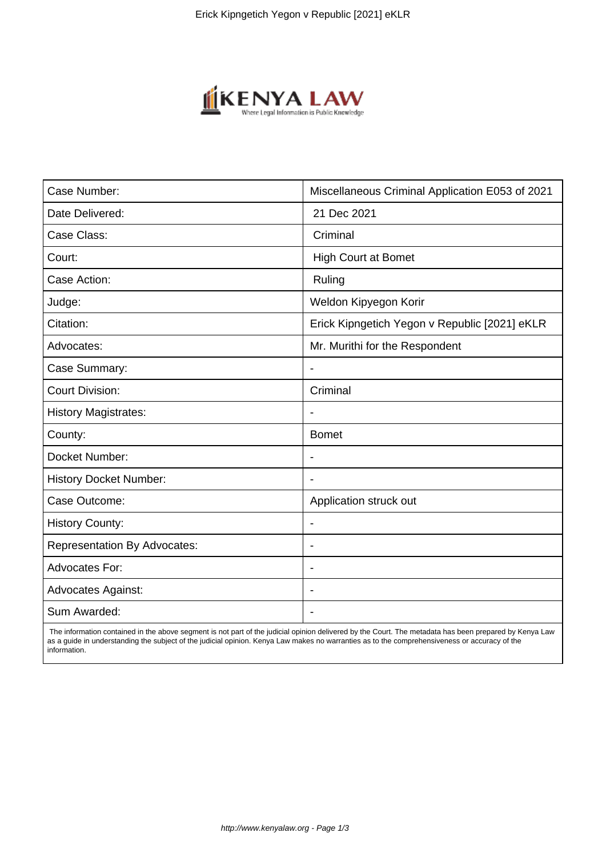

| Case Number:                        | Miscellaneous Criminal Application E053 of 2021 |
|-------------------------------------|-------------------------------------------------|
| Date Delivered:                     | 21 Dec 2021                                     |
| Case Class:                         | Criminal                                        |
| Court:                              | <b>High Court at Bomet</b>                      |
| Case Action:                        | Ruling                                          |
| Judge:                              | Weldon Kipyegon Korir                           |
| Citation:                           | Erick Kipngetich Yegon v Republic [2021] eKLR   |
| Advocates:                          | Mr. Murithi for the Respondent                  |
| Case Summary:                       |                                                 |
| <b>Court Division:</b>              | Criminal                                        |
| <b>History Magistrates:</b>         |                                                 |
| County:                             | <b>Bomet</b>                                    |
| Docket Number:                      |                                                 |
| <b>History Docket Number:</b>       |                                                 |
| Case Outcome:                       | Application struck out                          |
| <b>History County:</b>              | $\blacksquare$                                  |
| <b>Representation By Advocates:</b> | $\overline{\phantom{a}}$                        |
| Advocates For:                      | $\overline{\phantom{a}}$                        |
| <b>Advocates Against:</b>           |                                                 |
| Sum Awarded:                        |                                                 |

 The information contained in the above segment is not part of the judicial opinion delivered by the Court. The metadata has been prepared by Kenya Law as a guide in understanding the subject of the judicial opinion. Kenya Law makes no warranties as to the comprehensiveness or accuracy of the information.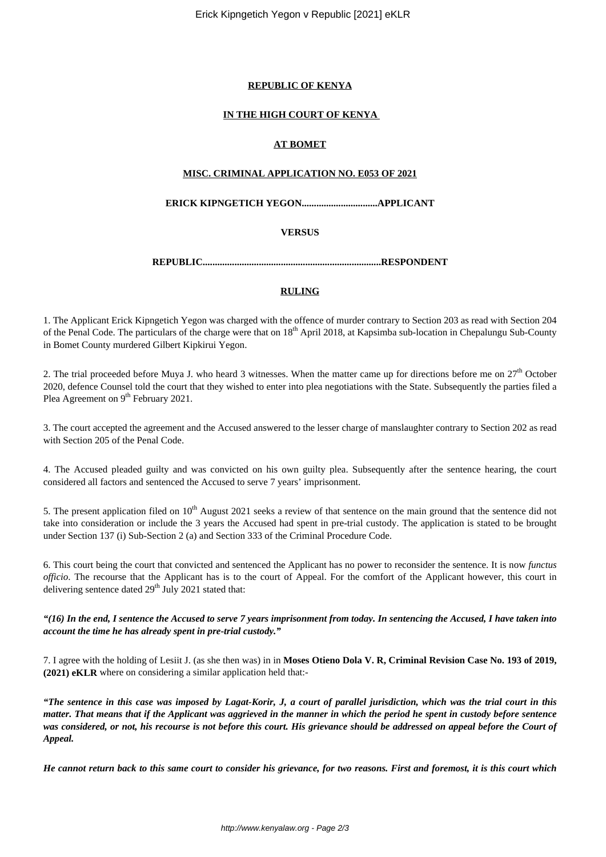Erick Kipngetich Yegon v Republic [2021] eKLR

#### **REPUBLIC OF KENYA**

# **IN THE HIGH COURT OF KENYA**

# **AT BOMET**

#### **MISC. CRIMINAL APPLICATION NO. E053 OF 2021**

## **ERICK KIPNGETICH YEGON...............................APPLICANT**

## **VERSUS**

**REPUBLIC.........................................................................RESPONDENT**

## **RULING**

1. The Applicant Erick Kipngetich Yegon was charged with the offence of murder contrary to Section 203 as read with Section 204 of the Penal Code. The particulars of the charge were that on 18<sup>th</sup> April 2018, at Kapsimba sub-location in Chepalungu Sub-County in Bomet County murdered Gilbert Kipkirui Yegon.

2. The trial proceeded before Muya J. who heard 3 witnesses. When the matter came up for directions before me on 27<sup>th</sup> October 2020, defence Counsel told the court that they wished to enter into plea negotiations with the State. Subsequently the parties filed a Plea Agreement on 9<sup>th</sup> February 2021.

3. The court accepted the agreement and the Accused answered to the lesser charge of manslaughter contrary to Section 202 as read with Section 205 of the Penal Code.

4. The Accused pleaded guilty and was convicted on his own guilty plea. Subsequently after the sentence hearing, the court considered all factors and sentenced the Accused to serve 7 years' imprisonment.

5. The present application filed on  $10<sup>th</sup>$  August 2021 seeks a review of that sentence on the main ground that the sentence did not take into consideration or include the 3 years the Accused had spent in pre-trial custody. The application is stated to be brought under Section 137 (i) Sub-Section 2 (a) and Section 333 of the Criminal Procedure Code.

6. This court being the court that convicted and sentenced the Applicant has no power to reconsider the sentence. It is now *functus officio*. The recourse that the Applicant has is to the court of Appeal. For the comfort of the Applicant however, this court in delivering sentence dated  $29<sup>th</sup>$  July 2021 stated that:

#### *"(16) In the end, I sentence the Accused to serve 7 years imprisonment from today. In sentencing the Accused, I have taken into account the time he has already spent in pre-trial custody."*

7. I agree with the holding of Lesiit J. (as she then was) in in **Moses Otieno Dola V. R, Criminal Revision Case No. 193 of 2019, (2021) eKLR** where on considering a similar application held that:-

*"The sentence in this case was imposed by Lagat-Korir, J, a court of parallel jurisdiction, which was the trial court in this matter. That means that if the Applicant was aggrieved in the manner in which the period he spent in custody before sentence was considered, or not, his recourse is not before this court. His grievance should be addressed on appeal before the Court of Appeal.*

*He cannot return back to this same court to consider his grievance, for two reasons. First and foremost, it is this court which*